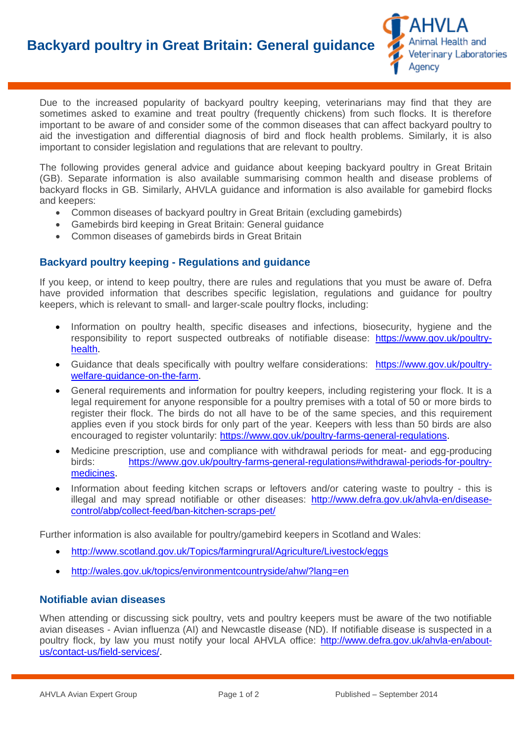

Due to the increased popularity of backyard poultry keeping, veterinarians may find that they are sometimes asked to examine and treat poultry (frequently chickens) from such flocks. It is therefore important to be aware of and consider some of the common diseases that can affect backyard poultry to aid the investigation and differential diagnosis of bird and flock health problems. Similarly, it is also important to consider legislation and regulations that are relevant to poultry.

The following provides general advice and guidance about keeping backyard poultry in Great Britain (GB). Separate information is also available summarising common health and disease problems of backyard flocks in GB. Similarly, AHVLA guidance and information is also available for gamebird flocks and keepers:

- Common diseases of backyard poultry in Great Britain (excluding gamebirds)
- Gamebirds bird keeping in Great Britain: General guidance
- Common diseases of gamebirds birds in Great Britain

## **Backyard poultry keeping - Regulations and guidance**

If you keep, or intend to keep poultry, there are rules and regulations that you must be aware of. Defra have provided information that describes specific legislation, regulations and guidance for poultry keepers, which is relevant to small- and larger-scale poultry flocks, including:

- Information on poultry health, specific diseases and infections, biosecurity, hygiene and the responsibility to report suspected outbreaks of notifiable disease: [https://www.gov.uk/poultry](https://www.gov.uk/poultry-health)[health.](https://www.gov.uk/poultry-health)
- Guidance that deals specifically with poultry welfare considerations: [https://www.gov.uk/poultry](https://www.gov.uk/poultry-welfare-guidance-on-the-farm)[welfare-guidance-on-the-farm.](https://www.gov.uk/poultry-welfare-guidance-on-the-farm)
- General requirements and information for poultry keepers, including registering your flock. It is a legal requirement for anyone responsible for a poultry premises with a total of 50 or more birds to register their flock. The birds do not all have to be of the same species, and this requirement applies even if you stock birds for only part of the year. Keepers with less than 50 birds are also encouraged to register voluntarily: [https://www.gov.uk/poultry-farms-general-regulations.](https://www.gov.uk/poultry-farms-general-regulations)
- Medicine prescription, use and compliance with withdrawal periods for meat- and egg-producing birds: [https://www.gov.uk/poultry-farms-general-regulations#withdrawal-periods-for-poultry](https://www.gov.uk/poultry-farms-general-regulations#withdrawal-periods-for-poultry-medicines)[medicines.](https://www.gov.uk/poultry-farms-general-regulations#withdrawal-periods-for-poultry-medicines)
- Information about feeding kitchen scraps or leftovers and/or catering waste to poultry this is illegal and may spread notifiable or other diseases: [http://www.defra.gov.uk/ahvla-en/disease](http://www.defra.gov.uk/ahvla-en/disease-control/abp/collect-feed/ban-kitchen-scraps-pet/)[control/abp/collect-feed/ban-kitchen-scraps-pet/](http://www.defra.gov.uk/ahvla-en/disease-control/abp/collect-feed/ban-kitchen-scraps-pet/)

Further information is also available for poultry/gamebird keepers in Scotland and Wales:

- <http://www.scotland.gov.uk/Topics/farmingrural/Agriculture/Livestock/eggs>
- <http://wales.gov.uk/topics/environmentcountryside/ahw/?lang=en>

## **Notifiable avian diseases**

When attending or discussing sick poultry, vets and poultry keepers must be aware of the two notifiable avian diseases - Avian influenza (AI) and Newcastle disease (ND). If notifiable disease is suspected in a poultry flock, by law you must notify your local AHVLA office: [http://www.defra.gov.uk/ahvla-en/about](http://www.defra.gov.uk/ahvla-en/about-us/contact-us/field-services/)[us/contact-us/field-services/.](http://www.defra.gov.uk/ahvla-en/about-us/contact-us/field-services/)